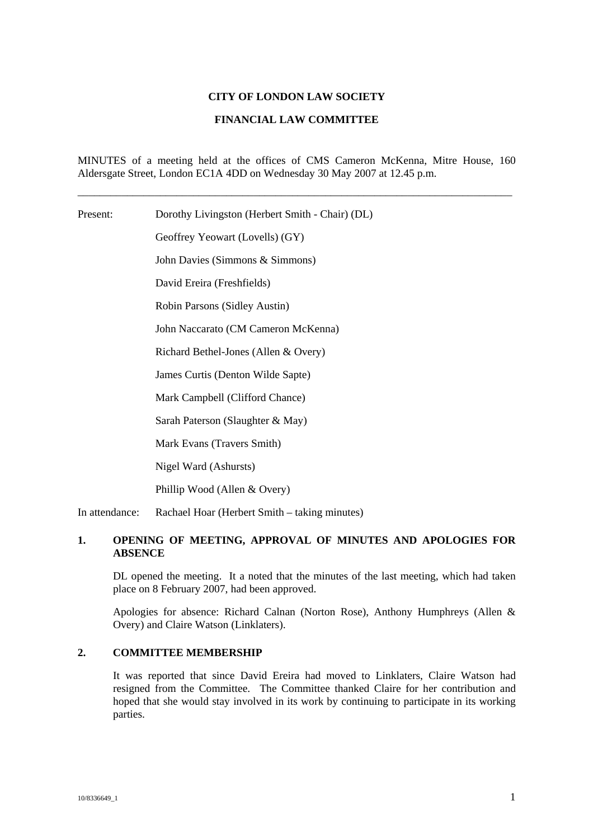### **CITY OF LONDON LAW SOCIETY**

#### **FINANCIAL LAW COMMITTEE**

MINUTES of a meeting held at the offices of CMS Cameron McKenna, Mitre House, 160 Aldersgate Street, London EC1A 4DD on Wednesday 30 May 2007 at 12.45 p.m.

\_\_\_\_\_\_\_\_\_\_\_\_\_\_\_\_\_\_\_\_\_\_\_\_\_\_\_\_\_\_\_\_\_\_\_\_\_\_\_\_\_\_\_\_\_\_\_\_\_\_\_\_\_\_\_\_\_\_\_\_\_\_\_\_\_\_\_\_\_\_\_\_\_\_\_\_\_\_\_

Present: Dorothy Livingston (Herbert Smith - Chair) (DL)

Geoffrey Yeowart (Lovells) (GY)

John Davies (Simmons & Simmons)

David Ereira (Freshfields)

Robin Parsons (Sidley Austin)

John Naccarato (CM Cameron McKenna)

Richard Bethel-Jones (Allen & Overy)

James Curtis (Denton Wilde Sapte)

Mark Campbell (Clifford Chance)

Sarah Paterson (Slaughter & May)

Mark Evans (Travers Smith)

Nigel Ward (Ashursts)

Phillip Wood (Allen & Overy)

In attendance: Rachael Hoar (Herbert Smith – taking minutes)

# **1. OPENING OF MEETING, APPROVAL OF MINUTES AND APOLOGIES FOR ABSENCE**

DL opened the meeting. It a noted that the minutes of the last meeting, which had taken place on 8 February 2007, had been approved.

Apologies for absence: Richard Calnan (Norton Rose), Anthony Humphreys (Allen & Overy) and Claire Watson (Linklaters).

# **2. COMMITTEE MEMBERSHIP**

It was reported that since David Ereira had moved to Linklaters, Claire Watson had resigned from the Committee. The Committee thanked Claire for her contribution and hoped that she would stay involved in its work by continuing to participate in its working parties.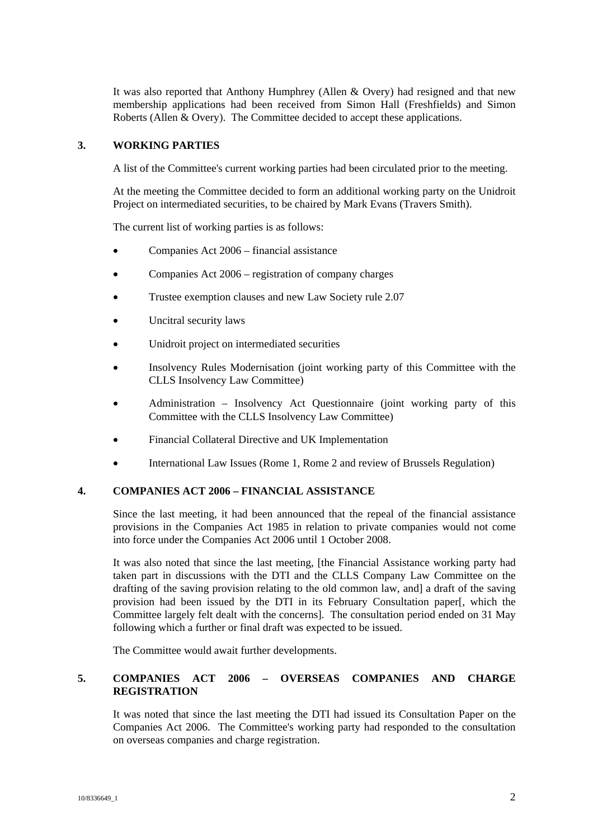It was also reported that Anthony Humphrey (Allen & Overy) had resigned and that new membership applications had been received from Simon Hall (Freshfields) and Simon Roberts (Allen & Overy). The Committee decided to accept these applications.

# **3. WORKING PARTIES**

A list of the Committee's current working parties had been circulated prior to the meeting.

At the meeting the Committee decided to form an additional working party on the Unidroit Project on intermediated securities, to be chaired by Mark Evans (Travers Smith).

The current list of working parties is as follows:

- Companies Act 2006 financial assistance
- Companies Act 2006 registration of company charges
- Trustee exemption clauses and new Law Society rule 2.07
- Uncitral security laws
- Unidroit project on intermediated securities
- Insolvency Rules Modernisation (joint working party of this Committee with the CLLS Insolvency Law Committee)
- Administration Insolvency Act Questionnaire (joint working party of this Committee with the CLLS Insolvency Law Committee)
- Financial Collateral Directive and UK Implementation
- International Law Issues (Rome 1, Rome 2 and review of Brussels Regulation)

### **4. COMPANIES ACT 2006 – FINANCIAL ASSISTANCE**

Since the last meeting, it had been announced that the repeal of the financial assistance provisions in the Companies Act 1985 in relation to private companies would not come into force under the Companies Act 2006 until 1 October 2008.

It was also noted that since the last meeting, [the Financial Assistance working party had taken part in discussions with the DTI and the CLLS Company Law Committee on the drafting of the saving provision relating to the old common law, and] a draft of the saving provision had been issued by the DTI in its February Consultation paper[, which the Committee largely felt dealt with the concerns]. The consultation period ended on 31 May following which a further or final draft was expected to be issued.

The Committee would await further developments.

# **5. COMPANIES ACT 2006 – OVERSEAS COMPANIES AND CHARGE REGISTRATION**

It was noted that since the last meeting the DTI had issued its Consultation Paper on the Companies Act 2006. The Committee's working party had responded to the consultation on overseas companies and charge registration.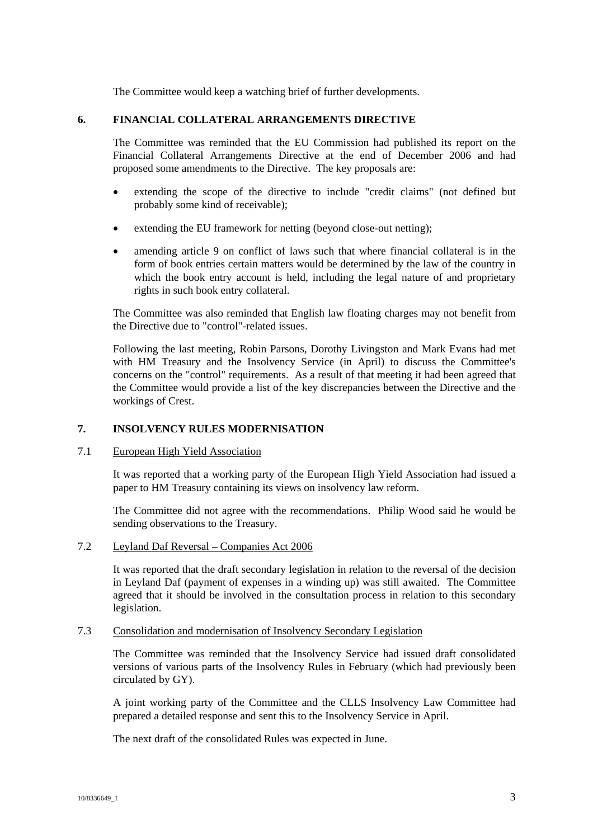The Committee would keep a watching brief of further developments.

# **6. FINANCIAL COLLATERAL ARRANGEMENTS DIRECTIVE**

The Committee was reminded that the EU Commission had published its report on the Financial Collateral Arrangements Directive at the end of December 2006 and had proposed some amendments to the Directive. The key proposals are:

- extending the scope of the directive to include "credit claims" (not defined but probably some kind of receivable);
- extending the EU framework for netting (beyond close-out netting);
- amending article 9 on conflict of laws such that where financial collateral is in the form of book entries certain matters would be determined by the law of the country in which the book entry account is held, including the legal nature of and proprietary rights in such book entry collateral.

The Committee was also reminded that English law floating charges may not benefit from the Directive due to "control"-related issues.

Following the last meeting, Robin Parsons, Dorothy Livingston and Mark Evans had met with HM Treasury and the Insolvency Service (in April) to discuss the Committee's concerns on the "control" requirements. As a result of that meeting it had been agreed that the Committee would provide a list of the key discrepancies between the Directive and the workings of Crest.

# **7. INSOLVENCY RULES MODERNISATION**

# 7.1 European High Yield Association

It was reported that a working party of the European High Yield Association had issued a paper to HM Treasury containing its views on insolvency law reform.

The Committee did not agree with the recommendations. Philip Wood said he would be sending observations to the Treasury.

7.2 Leyland Daf Reversal – Companies Act 2006

It was reported that the draft secondary legislation in relation to the reversal of the decision in Leyland Daf (payment of expenses in a winding up) was still awaited. The Committee agreed that it should be involved in the consultation process in relation to this secondary legislation.

#### 7.3 Consolidation and modernisation of Insolvency Secondary Legislation

The Committee was reminded that the Insolvency Service had issued draft consolidated versions of various parts of the Insolvency Rules in February (which had previously been circulated by GY).

A joint working party of the Committee and the CLLS Insolvency Law Committee had prepared a detailed response and sent this to the Insolvency Service in April.

The next draft of the consolidated Rules was expected in June.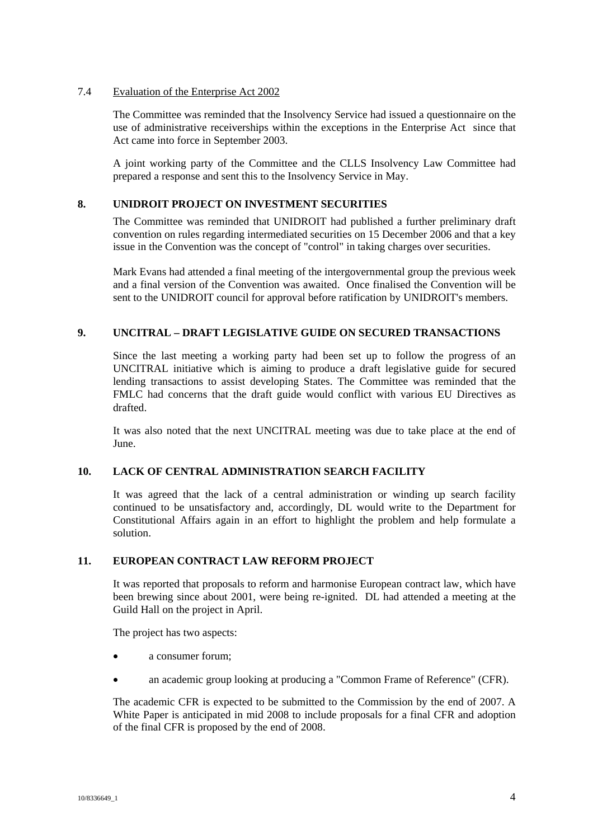### 7.4 Evaluation of the Enterprise Act 2002

The Committee was reminded that the Insolvency Service had issued a questionnaire on the use of administrative receiverships within the exceptions in the Enterprise Act since that Act came into force in September 2003.

A joint working party of the Committee and the CLLS Insolvency Law Committee had prepared a response and sent this to the Insolvency Service in May.

# **8. UNIDROIT PROJECT ON INVESTMENT SECURITIES**

The Committee was reminded that UNIDROIT had published a further preliminary draft convention on rules regarding intermediated securities on 15 December 2006 and that a key issue in the Convention was the concept of "control" in taking charges over securities.

Mark Evans had attended a final meeting of the intergovernmental group the previous week and a final version of the Convention was awaited. Once finalised the Convention will be sent to the UNIDROIT council for approval before ratification by UNIDROIT's members.

# **9. UNCITRAL – DRAFT LEGISLATIVE GUIDE ON SECURED TRANSACTIONS**

Since the last meeting a working party had been set up to follow the progress of an UNCITRAL initiative which is aiming to produce a draft legislative guide for secured lending transactions to assist developing States. The Committee was reminded that the FMLC had concerns that the draft guide would conflict with various EU Directives as drafted.

It was also noted that the next UNCITRAL meeting was due to take place at the end of June.

# **10. LACK OF CENTRAL ADMINISTRATION SEARCH FACILITY**

It was agreed that the lack of a central administration or winding up search facility continued to be unsatisfactory and, accordingly, DL would write to the Department for Constitutional Affairs again in an effort to highlight the problem and help formulate a solution.

# **11. EUROPEAN CONTRACT LAW REFORM PROJECT**

It was reported that proposals to reform and harmonise European contract law, which have been brewing since about 2001, were being re-ignited. DL had attended a meeting at the Guild Hall on the project in April.

The project has two aspects:

- a consumer forum;
- an academic group looking at producing a "Common Frame of Reference" (CFR).

The academic CFR is expected to be submitted to the Commission by the end of 2007. A White Paper is anticipated in mid 2008 to include proposals for a final CFR and adoption of the final CFR is proposed by the end of 2008.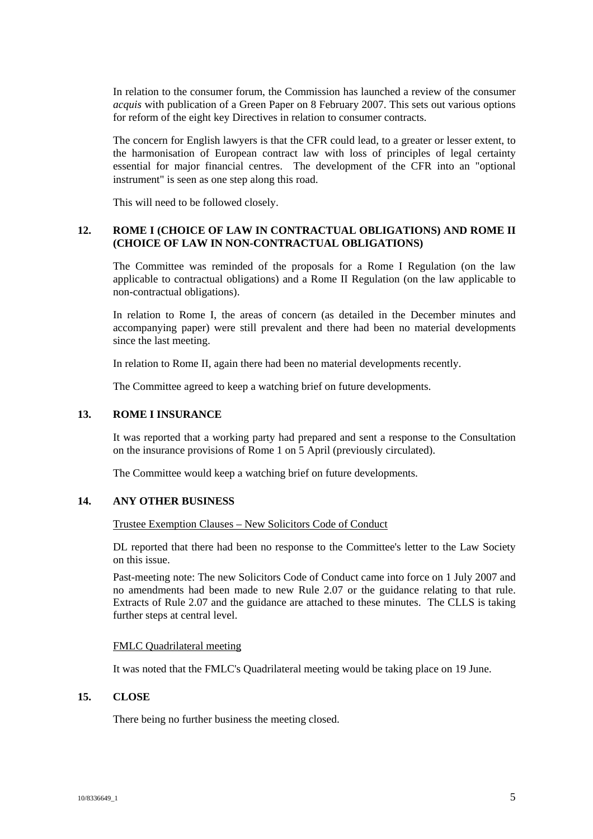In relation to the consumer forum, the Commission has launched a review of the consumer *acquis* with publication of a Green Paper on 8 February 2007. This sets out various options for reform of the eight key Directives in relation to consumer contracts.

The concern for English lawyers is that the CFR could lead, to a greater or lesser extent, to the harmonisation of European contract law with loss of principles of legal certainty essential for major financial centres. The development of the CFR into an "optional instrument" is seen as one step along this road.

This will need to be followed closely.

# **12. ROME I (CHOICE OF LAW IN CONTRACTUAL OBLIGATIONS) AND ROME II (CHOICE OF LAW IN NON-CONTRACTUAL OBLIGATIONS)**

The Committee was reminded of the proposals for a Rome I Regulation (on the law applicable to contractual obligations) and a Rome II Regulation (on the law applicable to non-contractual obligations).

In relation to Rome I, the areas of concern (as detailed in the December minutes and accompanying paper) were still prevalent and there had been no material developments since the last meeting.

In relation to Rome II, again there had been no material developments recently.

The Committee agreed to keep a watching brief on future developments.

### **13. ROME I INSURANCE**

It was reported that a working party had prepared and sent a response to the Consultation on the insurance provisions of Rome 1 on 5 April (previously circulated).

The Committee would keep a watching brief on future developments.

# **14. ANY OTHER BUSINESS**

### Trustee Exemption Clauses – New Solicitors Code of Conduct

DL reported that there had been no response to the Committee's letter to the Law Society on this issue.

Past-meeting note: The new Solicitors Code of Conduct came into force on 1 July 2007 and no amendments had been made to new Rule 2.07 or the guidance relating to that rule. Extracts of Rule 2.07 and the guidance are attached to these minutes. The CLLS is taking further steps at central level.

#### FMLC Quadrilateral meeting

It was noted that the FMLC's Quadrilateral meeting would be taking place on 19 June.

# **15. CLOSE**

There being no further business the meeting closed.